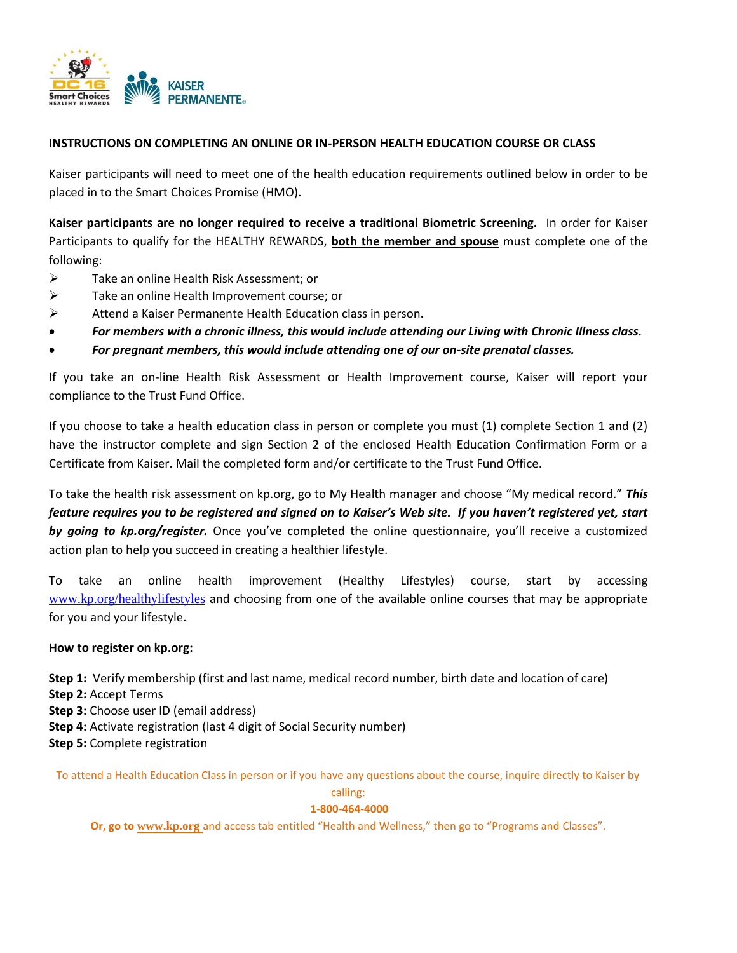

## **INSTRUCTIONS ON COMPLETING AN ONLINE OR IN-PERSON HEALTH EDUCATION COURSE OR CLASS**

Kaiser participants will need to meet one of the health education requirements outlined below in order to be placed in to the Smart Choices Promise (HMO).

**Kaiser participants are no longer required to receive a traditional Biometric Screening.** In order for Kaiser Participants to qualify for the HEALTHY REWARDS, **both the member and spouse** must complete one of the following:

- > Take an online Health Risk Assessment; or
- $\triangleright$  Take an online Health Improvement course; or
- Attend a Kaiser Permanente Health Education class in person**.**
- *For members with a chronic illness, this would include attending our Living with Chronic Illness class.*
- *For pregnant members, this would include attending one of our on-site prenatal classes.*

If you take an on-line Health Risk Assessment or Health Improvement course, Kaiser will report your compliance to the Trust Fund Office.

If you choose to take a health education class in person or complete you must (1) complete Section 1 and (2) have the instructor complete and sign Section 2 of the enclosed Health Education Confirmation Form or a Certificate from Kaiser. Mail the completed form and/or certificate to the Trust Fund Office.

To take the health risk assessment on kp.org, go to My Health manager and choose "My medical record." *This feature requires you to be registered and signed on to Kaiser's Web site. If you haven't registered yet, start by going to kp.org/register.* Once you've completed the online questionnaire, you'll receive a customized action plan to help you succeed in creating a healthier lifestyle.

To take an online health improvement (Healthy Lifestyles) course, start by accessing [www.kp.org/healthylifestyles](http://www.kp.org/healthylifestyles) and choosing from one of the available online courses that may be appropriate for you and your lifestyle.

## **How to register on kp.org:**

**Step 1:** Verify membership (first and last name, medical record number, birth date and location of care) **Step 2:** Accept Terms **Step 3:** Choose user ID (email address) **Step 4:** Activate registration (last 4 digit of Social Security number) **Step 5:** Complete registration

To attend a Health Education Class in person or if you have any questions about the course, inquire directly to Kaiser by

calling:

#### **1-800-464-4000**

**Or, go to [www.kp.org](http://www.kp.org/)** and access tab entitled "Health and Wellness," then go to "Programs and Classes".